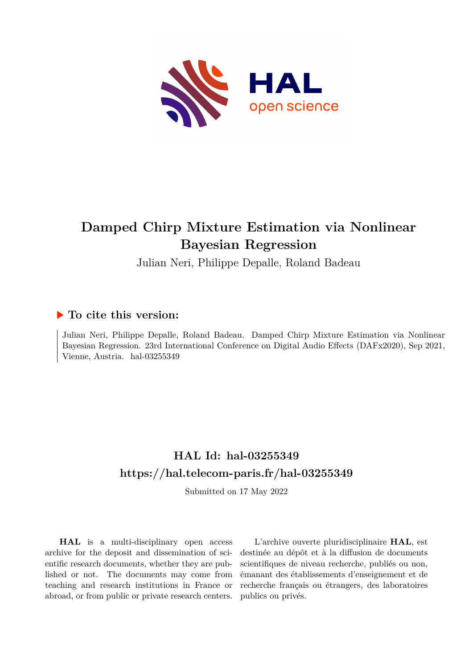

# **Damped Chirp Mixture Estimation via Nonlinear Bayesian Regression**

Julian Neri, Philippe Depalle, Roland Badeau

## **To cite this version:**

Julian Neri, Philippe Depalle, Roland Badeau. Damped Chirp Mixture Estimation via Nonlinear Bayesian Regression. 23rd International Conference on Digital Audio Effects (DAFx2020), Sep 2021, Vienne, Austria. hal-03255349

## **HAL Id: hal-03255349 <https://hal.telecom-paris.fr/hal-03255349>**

Submitted on 17 May 2022

**HAL** is a multi-disciplinary open access archive for the deposit and dissemination of scientific research documents, whether they are published or not. The documents may come from teaching and research institutions in France or abroad, or from public or private research centers.

L'archive ouverte pluridisciplinaire **HAL**, est destinée au dépôt et à la diffusion de documents scientifiques de niveau recherche, publiés ou non, émanant des établissements d'enseignement et de recherche français ou étrangers, des laboratoires publics ou privés.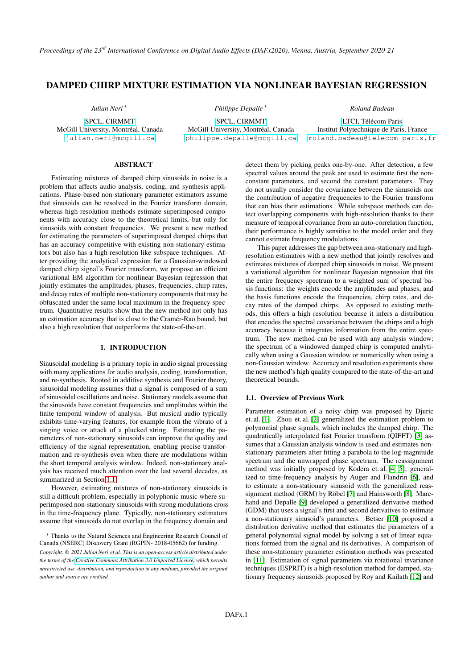*Proceedings of the 23rd International Conference on Digital Audio Effects (DAFx2020), Vienna, Austria, September 2020-21*

### DAMPED CHIRP MIXTURE ESTIMATION VIA NONLINEAR BAYESIAN REGRESSION

*Julian Neri* <sup>∗</sup>

[SPCL, CIRMMT](https://www.mdw.ac.at/ike/) McGill University, Montréal, Canada <julian.neri@mcgill.ca>

*Philippe Depalle* <sup>∗</sup>

[SPCL, CIRMMT](https://www.mdw.ac.at/ike/) McGill University, Montréal, Canada <philippe.depalle@mcgill.ca> *Roland Badeau*

[LTCI, Télécom Paris](https://www.mdw.ac.at/ike/) Institut Polytechnique de Paris, France <roland.badeau@telecom-paris.fr>

### ABSTRACT

Estimating mixtures of damped chirp sinusoids in noise is a problem that affects audio analysis, coding, and synthesis applications. Phase-based non-stationary parameter estimators assume that sinusoids can be resolved in the Fourier transform domain, whereas high-resolution methods estimate superimposed components with accuracy close to the theoretical limits, but only for sinusoids with constant frequencies. We present a new method for estimating the parameters of superimposed damped chirps that has an accuracy competitive with existing non-stationary estimators but also has a high-resolution like subspace techniques. After providing the analytical expression for a Gaussian-windowed damped chirp signal's Fourier transform, we propose an efficient variational EM algorithm for nonlinear Bayesian regression that jointly estimates the amplitudes, phases, frequencies, chirp rates, and decay rates of multiple non-stationary components that may be obfuscated under the same local maximum in the frequency spectrum. Quantitative results show that the new method not only has an estimation accuracy that is close to the Cramér-Rao bound, but also a high resolution that outperforms the state-of-the-art.

### 1. INTRODUCTION

Sinusoidal modeling is a primary topic in audio signal processing with many applications for audio analysis, coding, transformation, and re-synthesis. Rooted in additive synthesis and Fourier theory, sinusoidal modeling assumes that a signal is composed of a sum of sinusoidal oscillations and noise. Stationary models assume that the sinusoids have constant frequencies and amplitudes within the finite temporal window of analysis. But musical audio typically exhibits time-varying features, for example from the vibrato of a singing voice or attack of a plucked string. Estimating the parameters of non-stationary sinusoids can improve the quality and efficiency of the signal representation, enabling precise transformation and re-synthesis even when there are modulations within the short temporal analysis window. Indeed, non-stationary analysis has received much attention over the last several decades, as summarized in Section 1.1.

However, estimating mixtures of non-stationary sinusoids is still a difficult problem, especially in polyphonic music where superimposed non-stationary sinusoids with strong modulations cross in the time-frequency plane. Typically, non-stationary estimators assume that sinusoids do not overlap in the frequency domain and

detect them by picking peaks one-by-one. After detection, a few spectral values around the peak are used to estimate first the nonconstant parameters, and second the constant parameters. They do not usually consider the covariance between the sinusoids nor the contribution of negative frequencies to the Fourier transform that can bias their estimations. While subspace methods can detect overlapping components with high-resolution thanks to their measure of temporal covariance from an auto-correlation function, their performance is highly sensitive to the model order and they cannot estimate frequency modulations.

This paper addresses the gap between non-stationary and highresolution estimators with a new method that jointly resolves and estimates mixtures of damped chirp sinusoids in noise. We present a variational algorithm for nonlinear Bayesian regression that fits the entire frequency spectrum to a weighted sum of spectral basis functions: the weights encode the amplitudes and phases, and the basis functions encode the frequencies, chirp rates, and decay rates of the damped chirps. As opposed to existing methods, this offers a high resolution because it infers a distribution that encodes the spectral covariance between the chirps and a high accuracy because it integrates information from the entire spectrum. The new method can be used with any analysis window: the spectrum of a windowed damped chirp is computed analytically when using a Gaussian window or numerically when using a non-Gaussian window. Accuracy and resolution experiments show the new method's high quality compared to the state-of-the-art and theoretical bounds.

### 1.1. Overview of Previous Work

Parameter estimation of a noisy chirp was proposed by Djuric et. al. [1]. Zhou et. al. [2] generalized the estimation problem to polynomial phase signals, which includes the damped chirp. The quadratically interpolated fast Fourier transform (QIFFT) [3] assumes that a Gaussian analysis window is used and estimates nonstationary parameters after fitting a parabola to the log-magnitude spectrum and the unwrapped phase spectrum. The reassignment method was initially proposed by Kodera et. al. [4, 5], generalized to time-frequency analysis by Auger and Flandrin [6], and to estimate a non-stationary sinusoid with the generalized reassignment method (GRM) by Röbel [7] and Hainsworth [8]. Marchand and Depalle [9] developed a generalized derivative method (GDM) that uses a signal's first and second derivatives to estimate a non-stationary sinusoid's parameters. Betser [10] proposed a distribution derivative method that estimates the parameters of a general polynomial signal model by solving a set of linear equations formed from the signal and its derivatives. A comparison of these non-stationary parameter estimation methods was presented in [11]. Estimation of signal parameters via rotational invariance techniques (ESPRIT) is a high-resolution method for damped, stationary frequency sinusoids proposed by Roy and Kailath [12] and

<sup>∗</sup> Thanks to the Natural Sciences and Engineering Research Council of Canada (NSERC) Discovery Grant (RGPIN- 2018-05662) for funding.

*Copyright: © 2021 Julian Neri et al. This is an open-access article distributed under the terms of the [Creative Commons Attribution 3.0 Unported License,](http://creativecommons.org/licenses/by/3.0/) which permits unrestricted use, distribution, and reproduction in any medium, provided the original author and source are credited.*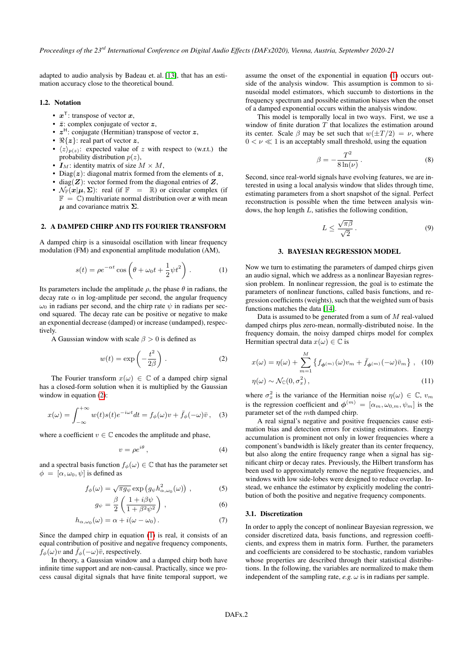adapted to audio analysis by Badeau et. al. [13], that has an estimation accuracy close to the theoretical bound.

### 1.2. Notation

- $x^{\mathsf{T}}$ : transpose of vector  $x$ ,
- $\bar{z}$ : complex conjugate of vector  $z$ ,
- $z^H$ : conjugate (Hermitian) transpose of vector  $z$ ,
- $\mathbb{R}\{z\}$ : real part of vector  $z$ ,
- $\langle z \rangle_{p(z)}$ : expected value of z with respect to (w.r.t.) the probability distribution  $p(z)$ ,
- $I_M$ : identity matrix of size  $M \times M$ ,
- Diag( $z$ ): diagonal matrix formed from the elements of  $z$ ,
- diag( $Z$ ): vector formed from the diagonal entries of  $Z$ ,
- $\mathcal{N}_{\mathbb{F}}(\boldsymbol{x}|\boldsymbol{\mu}, \boldsymbol{\Sigma})$ : real (if  $\mathbb{F} = \mathbb{R}$ ) or circular complex (if  $\mathbb{F} = \mathbb{C}$ ) multivariate normal distribution over x with mean  $\mu$  and covariance matrix  $\Sigma$ .

### 2. A DAMPED CHIRP AND ITS FOURIER TRANSFORM

A damped chirp is a sinusoidal oscillation with linear frequency modulation (FM) and exponential amplitude modulation (AM),

$$
s(t) = \rho e^{-\alpha t} \cos \left(\theta + \omega_0 t + \frac{1}{2} \psi t^2\right).
$$
 (1)

Its parameters include the amplitude  $\rho$ , the phase  $\theta$  in radians, the decay rate  $\alpha$  in log-amplitude per second, the angular frequency  $\omega_0$  in radians per second, and the chirp rate  $\psi$  in radians per second squared. The decay rate can be positive or negative to make an exponential decrease (damped) or increase (undamped), respectively.

A Gaussian window with scale  $\beta > 0$  is defined as

$$
w(t) = \exp\left(-\frac{t^2}{2\beta}\right). \tag{2}
$$

The Fourier transform  $x(\omega) \in \mathbb{C}$  of a damped chirp signal has a closed-form solution when it is multiplied by the Gaussian window in equation (2):

$$
x(\omega) = \int_{-\infty}^{+\infty} w(t)s(t)e^{-i\omega t}dt = f_{\phi}(\omega)v + \bar{f}_{\phi}(-\omega)\bar{v}, \quad (3)
$$

where a coefficient  $v \in \mathbb{C}$  encodes the amplitude and phase,

$$
v = \rho e^{i\theta},\tag{4}
$$

and a spectral basis function  $f_{\phi}(\omega) \in \mathbb{C}$  that has the parameter set  $\phi = [\alpha, \omega_0, \psi]$  is defined as

$$
f_{\phi}(\omega) = \sqrt{\pi g_{\psi}} \exp \left( g_{\psi} h_{\alpha,\omega_0}^2(\omega) \right) , \qquad (5)
$$

$$
g_{\psi} = \frac{\beta}{2} \left( \frac{1 + i\beta\psi}{1 + \beta^2 \psi^2} \right), \tag{6}
$$

$$
h_{\alpha,\omega_0}(\omega) = \alpha + i(\omega - \omega_0).
$$
 (7)

Since the damped chirp in equation (1) is real, it consists of an equal contribution of positive and negative frequency components,  $f_{\phi}(\omega)v$  and  $\bar{f}_{\phi}(-\omega)\bar{v}$ , respectively.

In theory, a Gaussian window and a damped chirp both have infinite time support and are non-causal. Practically, since we process causal digital signals that have finite temporal support, we

assume the onset of the exponential in equation (1) occurs outside of the analysis window. This assumption is common to sinusoidal model estimators, which succumb to distortions in the frequency spectrum and possible estimation biases when the onset of a damped exponential occurs within the analysis window.

This model is temporally local in two ways. First, we use a window of finite duration  $T$  that localizes the estimation around its center. Scale  $\beta$  may be set such that  $w(\pm T/2) = \nu$ , where  $0 < \nu \ll 1$  is an acceptably small threshold, using the equation

$$
\beta = -\frac{T^2}{8\ln(\nu)}.
$$
\n(8)

Second, since real-world signals have evolving features, we are interested in using a local analysis window that slides through time, estimating parameters from a short snapshot of the signal. Perfect reconstruction is possible when the time between analysis windows, the hop length L, satisfies the following condition,

$$
L \le \frac{\sqrt{\pi \beta}}{\sqrt{2}} \,. \tag{9}
$$

### 3. BAYESIAN REGRESSION MODEL

Now we turn to estimating the parameters of damped chirps given an audio signal, which we address as a nonlinear Bayesian regression problem. In nonlinear regression, the goal is to estimate the parameters of nonlinear functions, called basis functions, and regression coefficients (weights), such that the weighted sum of basis functions matches the data [14].

Data is assumed to be generated from a sum of  $M$  real-valued damped chirps plus zero-mean, normally-distributed noise. In the frequency domain, the noisy damped chirps model for complex Hermitian spectral data  $x(\omega) \in \mathbb{C}$  is

$$
x(\omega) = \eta(\omega) + \sum_{m=1}^{M} \left\{ f_{\phi^{(m)}}(\omega) v_m + \bar{f}_{\phi^{(m)}}(-\omega) \bar{v}_m \right\}, \quad (10)
$$

 $\eta(\omega) \sim \mathcal{N}_\mathbb{C}(0,\sigma_x^2)$  $x^{2}$ , (11)

where  $\sigma_x^2$  is the variance of the Hermitian noise  $\eta(\omega) \in \mathbb{C}$ ,  $v_m$ is the regression coefficient and  $\phi^{(m)} = [\alpha_m, \omega_{0,m}, \psi_m]$  is the parameter set of the mth damped chirp.

A real signal's negative and positive frequencies cause estimation bias and detection errors for existing estimators. Energy accumulation is prominent not only in lower frequencies where a component's bandwidth is likely greater than its center frequency, but also along the entire frequency range when a signal has significant chirp or decay rates. Previously, the Hilbert transform has been used to approximately remove the negative frequencies, and windows with low side-lobes were designed to reduce overlap. Instead, we enhance the estimator by explicitly modeling the contribution of both the positive and negative frequency components.

### 3.1. Discretization

In order to apply the concept of nonlinear Bayesian regression, we consider discretized data, basis functions, and regression coefficients, and express them in matrix form. Further, the parameters and coefficients are considered to be stochastic, random variables whose properties are described through their statistical distributions. In the following, the variables are normalized to make them independent of the sampling rate,  $e.g. \omega$  is in radians per sample.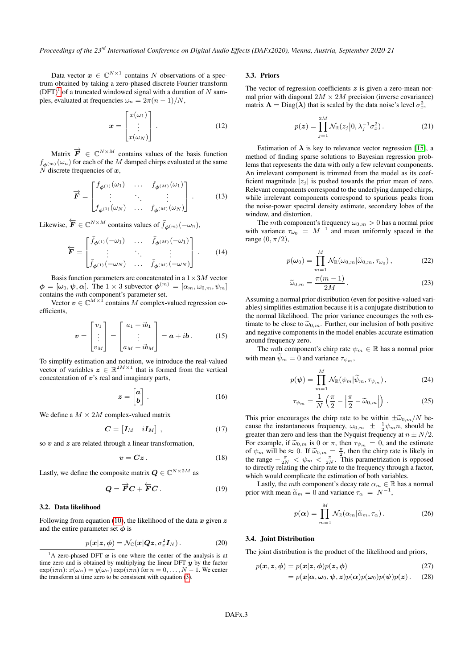Data vector  $x \in \mathbb{C}^{N \times 1}$  contains N observations of a spectrum obtained by taking a zero-phased discrete Fourier transform  $(DFT)^1$  of a truncated windowed signal with a duration of N samples, evaluated at frequencies  $\omega_n = 2\pi(n-1)/N$ ,

$$
\boldsymbol{x} = \begin{bmatrix} x(\omega_1) \\ \vdots \\ x(\omega_N) \end{bmatrix} . \tag{12}
$$

Matrix  $\vec{F} \in \mathbb{C}^{N \times M}$  contains values of the basis function  $f_{\boldsymbol{\phi}^{(m)}}(\omega_n)$  for each of the  $M$  damped chirps evaluated at the same  $N$  discrete frequencies of  $x$ ,

$$
\overrightarrow{F} = \begin{bmatrix} f_{\phi^{(1)}}(\omega_1) & \cdots & f_{\phi^{(M)}}(\omega_1) \\ \vdots & \ddots & \vdots \\ f_{\phi^{(1)}}(\omega_N) & \cdots & f_{\phi^{(M)}}(\omega_N) \end{bmatrix} . \tag{13}
$$

Likewise,  $\overleftarrow{\bm{F}} \in \mathbb{C}^{N \times M}$  contains values of  $\overline{f}_{\phi^{(m)}}(-\omega_n)$ ,

$$
\overleftarrow{F} = \begin{bmatrix} \overline{f}_{\phi^{(1)}}(-\omega_1) & \cdots & \overline{f}_{\phi^{(M)}}(-\omega_1) \\ \vdots & \ddots & \vdots \\ \overline{f}_{\phi^{(1)}}(-\omega_N) & \cdots & \overline{f}_{\phi^{(M)}}(-\omega_N) \end{bmatrix} . \tag{14}
$$

Basis function parameters are concatenated in a  $1 \times 3M$  vector  $\phi = [\omega_0, \psi, \alpha]$ . The 1 × 3 subvector  $\phi^{(m)} = [\alpha_m, \omega_{0,m}, \psi_m]$ contains the mth component's parameter set.

Vector  $v \in \mathbb{C}^{M \times \bar{1}}$  contains M complex-valued regression coefficients,

$$
\boldsymbol{v} = \begin{bmatrix} v_1 \\ \vdots \\ v_M \end{bmatrix} = \begin{bmatrix} a_1 + ib_1 \\ \vdots \\ a_M + ib_M \end{bmatrix} = \boldsymbol{a} + i\boldsymbol{b}.
$$
 (15)

To simplify estimation and notation, we introduce the real-valued vector of variables  $\boldsymbol{z} \in \mathbb{R}^{2M \times 1}$  that is formed from the vertical concatenation of  $v$ 's real and imaginary parts,

$$
z = \begin{bmatrix} a \\ b \end{bmatrix} . \tag{16}
$$

We define a  $M \times 2M$  complex-valued matrix

$$
\boldsymbol{C} = \begin{bmatrix} \boldsymbol{I}_M & i\boldsymbol{I}_M \end{bmatrix}, \tag{17}
$$

so  $v$  and  $z$  are related through a linear transformation,

$$
v = Cz \,. \tag{18}
$$

Lastly, we define the composite matrix  $\mathbf{Q} \in \mathbb{C}^{N \times 2M}$  as

$$
Q = \overrightarrow{F}C + \overleftarrow{F}\overrightarrow{C}.
$$
 (19)

#### 3.2. Data likelihood

Following from equation (10), the likelihood of the data  $x$  given  $z$ and the entire parameter set  $\phi$  is

$$
p(\mathbf{x}|\mathbf{z},\boldsymbol{\phi})=\mathcal{N}_{\mathbb{C}}(\mathbf{x}|\mathbf{Q}\mathbf{z},\sigma_x^2\mathbf{I}_N). \hspace{1cm} (20)
$$

### 3.3. Priors

The vector of regression coefficients  $z$  is given a zero-mean normal prior with diagonal  $2M \times 2M$  precision (inverse covariance) matrix  $\Lambda = \text{Diag}(\lambda)$  that is scaled by the data noise's level  $\sigma_x^2$ ,

$$
p(\boldsymbol{z}) = \prod_{j=1}^{2M} \mathcal{N}_{\mathbb{R}}(z_j | 0, \lambda_j^{-1} \sigma_x^2).
$$
 (21)

Estimation of  $\lambda$  is key to relevance vector regression [15], a method of finding sparse solutions to Bayesian regression problems that represents the data with only a few relevant components. An irrelevant component is trimmed from the model as its coefficient magnitude  $|z_i|$  is pushed towards the prior mean of zero. Relevant components correspond to the underlying damped chirps, while irrelevant components correspond to spurious peaks from the noise-power spectral density estimate, secondary lobes of the window, and distortion.

The *mth* component's frequency  $\omega_{0,m} > 0$  has a normal prior with variance  $\tau_{\omega_0} = M^{-1}$  and mean uniformly spaced in the range  $(0, \pi/2)$ ,

$$
p(\boldsymbol{\omega}_0) = \prod_{m=1}^M \mathcal{N}_{\mathbb{R}}(\omega_{0,m}|\widetilde{\omega}_{0,m}, \tau_{\omega_0}), \qquad (22)
$$

$$
\widetilde{\omega}_{0,m} = \frac{\pi(m-1)}{2M} \,. \tag{23}
$$

Assuming a normal prior distribution (even for positive-valued variables) simplifies estimation because it is a conjugate distribution to the normal likelihood. The prior variance encourages the mth estimate to be close to  $\tilde{\omega}_{0,m}$ . Further, our inclusion of both positive and negative components in the model enables accurate estimation around frequency zero.

The *mth* component's chirp rate  $\psi_m \in \mathbb{R}$  has a normal prior with mean  $\psi_m = 0$  and variance  $\tau_{\psi_m}$ ,

$$
p(\boldsymbol{\psi}) = \prod_{m=1}^{M} \mathcal{N}_{\mathbb{R}}(\psi_m | \widetilde{\psi}_m, \tau_{\psi_m}), \qquad (24)
$$

$$
\tau_{\psi_m} = \frac{1}{N} \left( \frac{\pi}{2} - \left| \frac{\pi}{2} - \widetilde{\omega}_{0,m} \right| \right) . \tag{25}
$$

This prior encourages the chirp rate to be within  $\pm \tilde{\omega}_{0,m}/N$  because the instantaneous frequency,  $\omega_{0,m} \pm \frac{1}{2} \psi_m n$ , should be greater than zero and less than the Nyquist frequency at  $n \pm N/2$ . For example, if  $\tilde{\omega}_{0,m}$  is 0 or  $\pi$ , then  $\tau_{\psi_m} = 0$ , and the estimate of  $\psi_m$  will be  $\approx 0$ . If  $\tilde{\omega}_{0,m} = \frac{\pi}{2}$ , then the chirp rate is likely in the range  $-\pi \le \psi \le \pi$ . This parametrization is opposed the range  $-\frac{\pi}{2N} < \psi_m < \frac{\pi}{2N}$ . This parametrization is opposed to directly relating the chirp rate to the frequency through a factor, which would complicate the estimation of both variables.

Lastly, the *mth* component's decay rate  $\alpha_m \in \mathbb{R}$  has a normal prior with mean  $\tilde{\alpha}_m = 0$  and variance  $\tau_\alpha = N^{-1}$ ,

$$
p(\boldsymbol{\alpha}) = \prod_{m=1}^{M} \mathcal{N}_{\mathbb{R}}(\alpha_m | \widetilde{\alpha}_m, \tau_{\alpha}).
$$
 (26)

### 3.4. Joint Distribution

The joint distribution is the product of the likelihood and priors,

$$
p(\mathbf{x}, \mathbf{z}, \boldsymbol{\phi}) = p(\mathbf{x} | \mathbf{z}, \boldsymbol{\phi}) p(\mathbf{z}, \boldsymbol{\phi})
$$
  
=  $p(\mathbf{x} | \boldsymbol{\alpha}, \boldsymbol{\omega}_0, \boldsymbol{\psi}, \mathbf{z}) p(\boldsymbol{\alpha}) p(\boldsymbol{\omega}_0) p(\boldsymbol{\psi}) p(\mathbf{z})$ . (28)

<sup>&</sup>lt;sup>1</sup>A zero-phased DFT  $x$  is one where the center of the analysis is at time zero and is obtained by multiplying the linear DFT  $\boldsymbol{\eta}$  by the factor  $\exp(i\pi n)$ :  $x(\omega_n) = y(\omega_n) \exp(i\pi n)$  for  $n = 0, \ldots, N-1$ . We center the transform at time zero to be consistent with equation (3).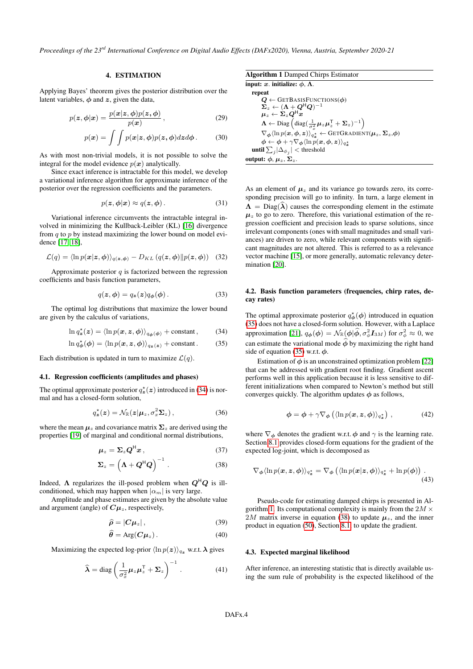*Proceedings of the 23rd International Conference on Digital Audio Effects (DAFx2020), Vienna, Austria, September 2020-21*

### 4. ESTIMATION

Applying Bayes' theorem gives the posterior distribution over the latent variables,  $\phi$  and  $z$ , given the data,

$$
p(\mathbf{z}, \boldsymbol{\phi}|\mathbf{x}) = \frac{p(\mathbf{x}|\mathbf{z}, \boldsymbol{\phi})p(\mathbf{z}, \boldsymbol{\phi})}{p(\mathbf{x})},
$$
\n(29)

$$
p(\boldsymbol{x}) = \int \int p(\boldsymbol{x}|\boldsymbol{z}, \boldsymbol{\phi}) p(\boldsymbol{z}, \boldsymbol{\phi}) dz d\boldsymbol{\phi}.
$$
 (30)

As with most non-trivial models, it is not possible to solve the integral for the model evidence  $p(x)$  analytically.

Since exact inference is intractable for this model, we develop a variational inference algorithm for approximate inference of the posterior over the regression coefficients and the parameters.

$$
p(z, \phi | x) \approx q(z, \phi). \tag{31}
$$

Variational inference circumvents the intractable integral involved in minimizing the Kullback-Leibler (KL) [16] divergence from  $q$  to  $p$  by instead maximizing the lower bound on model evidence [17, 18],

$$
\mathcal{L}(q) = \langle \ln p(\mathbf{x}|\mathbf{z}, \boldsymbol{\phi}) \rangle_{q(\mathbf{z}, \boldsymbol{\phi})} - D_{KL}(q(\mathbf{z}, \boldsymbol{\phi}) || p(\mathbf{z}, \boldsymbol{\phi})) \quad (32)
$$

Approximate posterior  $q$  is factorized between the regression coefficients and basis function parameters,

$$
q(z, \phi) = q_z(z)q_{\phi}(\phi).
$$
 (33)

The optimal log distributions that maximize the lower bound are given by the calculus of variations,

$$
\ln q_{\mathbf{z}}^{\star}(\mathbf{z}) = \langle \ln p(\mathbf{x}, \mathbf{z}, \phi) \rangle_{q_{\phi}(\phi)} + \text{constant}, \qquad (34)
$$
  

$$
\ln q_{\phi}^{\star}(\phi) = \langle \ln p(\mathbf{x}, \mathbf{z}, \phi) \rangle_{q_{\mathbf{z}}(\mathbf{z})} + \text{constant}. \qquad (35)
$$

Each distribution is updated in turn to maximize 
$$
\mathcal{L}(q)
$$
.

### 4.1. Regression coefficients (amplitudes and phases)

The optimal approximate posterior  $q_{\mathbf{z}}^{\star}(\mathbf{z})$  introduced in (34) is normal and has a closed-form solution,

$$
q_{\mathbf{z}}^{\star}(\mathbf{z}) = \mathcal{N}_{\mathbb{R}}(\mathbf{z}|\boldsymbol{\mu}_z, \sigma_x^2 \boldsymbol{\Sigma}_z), \qquad (36)
$$

where the mean  $\mu_z$  and covariance matrix  $\Sigma_z$  are derived using the properties [19] of marginal and conditional normal distributions,

$$
\mu_z = \Sigma_z Q^{\mathsf{H}} x \,, \tag{37}
$$

$$
\Sigma_z = \left(\Lambda + Q^{\mathsf{H}}Q\right)^{-1} \,. \tag{38}
$$

Indeed,  $\Lambda$  regularizes the ill-posed problem when  $Q^HQ$  is illconditioned, which may happen when  $|\alpha_m|$  is very large.

Amplitude and phase estimates are given by the absolute value and argument (angle) of  $C\mu_z$ , respectively,

$$
\widehat{\rho} = |C\mu_z|, \tag{39}
$$

$$
\hat{\theta} = \text{Arg}(C\mu_z). \tag{40}
$$

Maximizing the expected log-prior  $\langle \ln p(z) \rangle_{q_z}$  w.r.t.  $\lambda$  gives

$$
\widehat{\lambda} = \text{diag}\left(\frac{1}{\sigma_x^2} \mu_z \mu_z^\mathsf{T} + \Sigma_z\right)^{-1}.
$$
 (41)

Algorithm 1 Damped Chirps Estimator input: x. initialize:  $\phi$ ,  $\Lambda$ . repeat  $\boldsymbol{Q} \leftarrow$  GETBASISFUNCTIONS( $\boldsymbol{\phi}$ )  $\boldsymbol{\Sigma}_z \leftarrow (\boldsymbol{\Lambda} + \boldsymbol{Q}^{\mathsf{H}} \boldsymbol{Q})^{-1}$  $\mu_z \leftarrow \Sigma_z Q^{\mathsf{H}} x$  $\mathbf{\Lambda} \leftarrow \mathrm{Diag} \left( \mathrm{diag} (\frac{1}{\sigma_x^2} \boldsymbol{\mu}_z \boldsymbol{\mu}_z^{\mathsf{T}} + \boldsymbol{\Sigma}_z)^{-1} \right)$  $\nabla_{\boldsymbol{\phi}}\langle\ln p(\boldsymbol{x}, \boldsymbol{\phi}, \boldsymbol{z})\rangle_{q_{\boldsymbol{z}}^{\star}} \leftarrow \text{GETGraphI}(\boldsymbol{\mu}_z, \boldsymbol{\Sigma}_z, \boldsymbol{\phi})$  $\boldsymbol \phi \leftarrow \boldsymbol \phi + \gamma \nabla_{\boldsymbol \phi} \langle \ln p(\boldsymbol x, \boldsymbol \phi, \boldsymbol z) \rangle_{q_{\boldsymbol z}^\star}$ **until**  $\sum_j |\Delta_{\phi_j}| <$  threshold output:  $\phi$ ,  $\mu_z$ ,  $\Sigma_z$ .

As an element of  $\mu_z$  and its variance go towards zero, its corresponding precision will go to infinity. In turn, a large element in  $\Lambda = \text{Diag}(\lambda)$  causes the corresponding element in the estimate  $\mu_z$  to go to zero. Therefore, this variational estimation of the regression coefficient and precision leads to sparse solutions, since irrelevant components (ones with small magnitudes and small variances) are driven to zero, while relevant components with significant magnitudes are not altered. This is referred to as a relevance vector machine [15], or more generally, automatic relevancy determination [20].

### 4.2. Basis function parameters (frequencies, chirp rates, decay rates)

The optimal approximate posterior  $q_{\phi}^{\star}(\phi)$  introduced in equation (35) does not have a closed-form solution. However, with a Laplace approximation [21],  $q_{\phi}(\phi) = \mathcal{N}_{\mathbb{R}}(\phi|\hat{\phi}, \sigma_{\phi}^2 \mathbf{I}_{3M})$  for  $\sigma_{\phi}^2 \approx 0$ , we can estimate the variational mode  $\hat{\phi}$  by maximizing the right hand side of equation (35) w.r.t.  $\phi$ .

Estimation of  $\phi$  is an unconstrained optimization problem [22] that can be addressed with gradient root finding. Gradient ascent performs well in this application because it is less sensitive to different initializations when compared to Newton's method but still converges quickly. The algorithm updates  $\phi$  as follows,

$$
\phi = \phi + \gamma \nabla_{\phi} \left( \langle \ln p(\boldsymbol{x}, \boldsymbol{z}, \phi) \rangle_{q_{\boldsymbol{z}}^*} \right), \tag{42}
$$

where  $\nabla_{\phi}$  denotes the gradient w.r.t.  $\phi$  and  $\gamma$  is the learning rate. Section 8.1 provides closed-form equations for the gradient of the expected log-joint, which is decomposed as

$$
\nabla_{\phi} \langle \ln p(\boldsymbol{x}, \boldsymbol{z}, \boldsymbol{\phi}) \rangle_{q_{\boldsymbol{z}}^{\star}} = \nabla_{\phi} \left( \langle \ln p(\boldsymbol{x} | \boldsymbol{z}, \boldsymbol{\phi}) \rangle_{q_{\boldsymbol{z}}^{\star}} + \ln p(\boldsymbol{\phi}) \right) . \tag{43}
$$

Pseudo-code for estimating damped chirps is presented in Algorithm 1. Its computational complexity is mainly from the  $2M \times$ 2M matrix inverse in equation (38) to update  $\mu_z$ , and the inner product in equation (50), Section 8.1, to update the gradient.

### 4.3. Expected marginal likelihood

After inference, an interesting statistic that is directly available using the sum rule of probability is the expected likelihood of the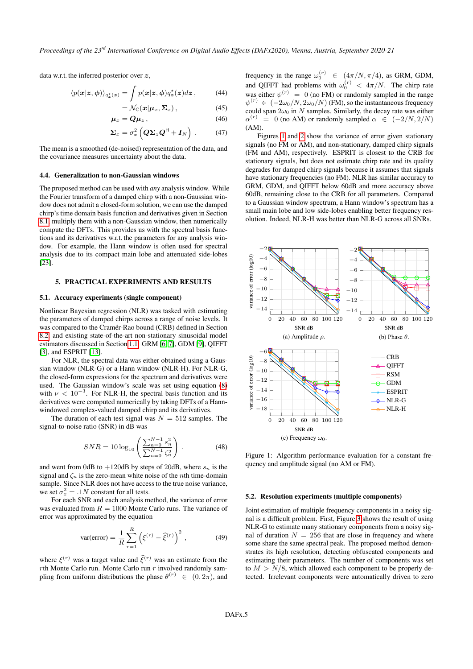data w.r.t. the inferred posterior over z,

$$
\langle p(\mathbf{x}|\mathbf{z},\boldsymbol{\phi})\rangle_{q^*_{\mathbf{z}}(\mathbf{z})} = \int p(\mathbf{x}|\mathbf{z},\boldsymbol{\phi})q^*_{\mathbf{z}}(\mathbf{z})d\mathbf{z},\qquad(44)
$$

$$
= \mathcal{N}_{\mathbb{C}}(\boldsymbol{x}|\boldsymbol{\mu}_x, \boldsymbol{\Sigma}_x), \qquad (45)
$$

$$
\boldsymbol{\mu}_x = \boldsymbol{Q}\boldsymbol{\mu}_z, \qquad (46)
$$

$$
\Sigma_x = \sigma_x^2 \left( \mathbf{Q} \Sigma_z \mathbf{Q}^{\mathsf{H}} + \mathbf{I}_N \right) . \tag{47}
$$

The mean is a smoothed (de-noised) representation of the data, and the covariance measures uncertainty about the data.

#### 4.4. Generalization to non-Gaussian windows

The proposed method can be used with *any* analysis window. While the Fourier transform of a damped chirp with a non-Gaussian window does not admit a closed-form solution, we can use the damped chirp's time domain basis function and derivatives given in Section 8.1, multiply them with a non-Gaussian window, then numerically compute the DFTs. This provides us with the spectral basis functions and its derivatives w.r.t. the parameters for any analysis window. For example, the Hann window is often used for spectral analysis due to its compact main lobe and attenuated side-lobes [23].

### 5. PRACTICAL EXPERIMENTS AND RESULTS

### 5.1. Accuracy experiments (single component)

Nonlinear Bayesian regression (NLR) was tasked with estimating the parameters of damped chirps across a range of noise levels. It was compared to the Cramér-Rao bound (CRB) defined in Section 8.2, and existing state-of-the-art non-stationary sinusoidal model estimators discussed in Section 1.1: GRM [6, 7], GDM [9], QIFFT [3], and ESPRIT [13].

For NLR, the spectral data was either obtained using a Gaussian window (NLR-G) or a Hann window (NLR-H). For NLR-G, the closed-form expressions for the spectrum and derivatives were used. The Gaussian window's scale was set using equation (8) with  $\nu < 10^{-3}$ . For NLR-H, the spectral basis function and its derivatives were computed numerically by taking DFTs of a Hannwindowed complex-valued damped chirp and its derivatives.

The duration of each test signal was  $N = 512$  samples. The signal-to-noise ratio (SNR) in dB was

$$
SNR = 10 \log_{10} \left( \frac{\sum_{n=0}^{N-1} s_n^2}{\sum_{n=0}^{N-1} \zeta_n^2} \right). \tag{48}
$$

and went from 0dB to  $+120$ dB by steps of 20dB, where  $s_n$  is the signal and  $\zeta_n$  is the zero-mean white noise of the *n*th time-domain sample. Since NLR does not have access to the true noise variance, we set  $\sigma_x^2 = .1N$  constant for all tests.

For each SNR and each analysis method, the variance of error was evaluated from  $R = 1000$  Monte Carlo runs. The variance of error was approximated by the equation

$$
\text{var}(\text{error}) = \frac{1}{R} \sum_{r=1}^{R} \left( \xi^{(r)} - \hat{\xi}^{(r)} \right)^2 , \tag{49}
$$

where  $\xi^{(r)}$  was a target value and  $\hat{\xi}^{(r)}$  was an estimate from the  $r$ th Monte Carlo run. Monte Carlo run  $r$  involved randomly sampling from uniform distributions the phase  $\theta^{(r)} \in (0, 2\pi)$ , and

frequency in the range  $\omega_0^{(r)} \in (4\pi/N, \pi/4)$ , as GRM, GDM, and QIFFT had problems with  $\omega_0^{(r)} < 4\pi/N$ . The chirp rate was either  $\psi^{(r)} = 0$  (no FM) or randomly sampled in the range  $\psi^{(r)} \in (-2\omega_0/N, 2\omega_0/N)$  (FM), so the instantaneous frequency could span  $2\omega_0$  in N samples. Similarly, the decay rate was either  $\alpha^{(r)} = 0$  (no AM) or randomly sampled  $\alpha \in (-2/N, 2/N)$ (AM).

Figures 1 and 2 show the variance of error given stationary signals (no FM or AM), and non-stationary, damped chirp signals (FM and AM), respectively. ESPRIT is closest to the CRB for stationary signals, but does not estimate chirp rate and its quality degrades for damped chirp signals because it assumes that signals have stationary frequencies (no FM). NLR has similar accuracy to GRM, GDM, and QIFFT below 60dB and more accuracy above 60dB, remaining close to the CRB for all parameters. Compared to a Gaussian window spectrum, a Hann window's spectrum has a small main lobe and low side-lobes enabling better frequency resolution. Indeed, NLR-H was better than NLR-G across all SNRs.



Figure 1: Algorithm performance evaluation for a constant frequency and amplitude signal (no AM or FM).

### 5.2. Resolution experiments (multiple components)

Joint estimation of multiple frequency components in a noisy signal is a difficult problem. First, Figure 3 shows the result of using NLR-G to estimate many stationary components from a noisy signal of duration  $N = 256$  that are close in frequency and where some share the same spectral peak. The proposed method demonstrates its high resolution, detecting obfuscated components and estimating their parameters. The number of components was set to  $M > N/8$ , which allowed each component to be properly detected. Irrelevant components were automatically driven to zero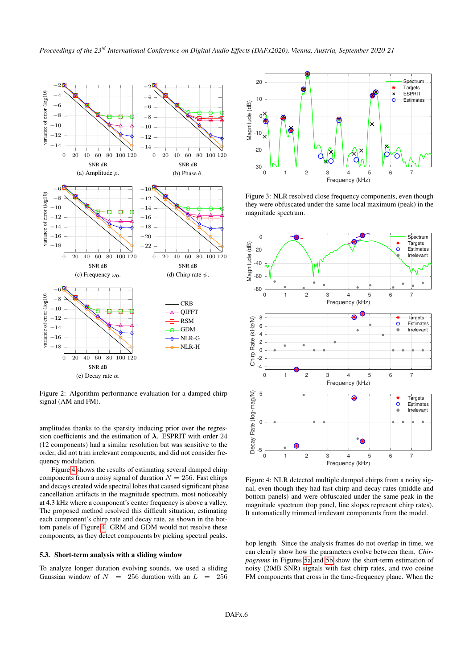

Figure 2: Algorithm performance evaluation for a damped chirp signal (AM and FM).

amplitudes thanks to the sparsity inducing prior over the regression coefficients and the estimation of  $\lambda$ . ESPRIT with order 24 (12 components) had a similar resolution but was sensitive to the order, did not trim irrelevant components, and did not consider frequency modulation.

Figure 4 shows the results of estimating several damped chirp components from a noisy signal of duration  $N = 256$ . Fast chirps and decays created wide spectral lobes that caused significant phase cancellation artifacts in the magnitude spectrum, most noticeably at 4.3 kHz where a component's center frequency is above a valley. The proposed method resolved this difficult situation, estimating each component's chirp rate and decay rate, as shown in the bottom panels of Figure 4. GRM and GDM would not resolve these components, as they detect components by picking spectral peaks.

### 5.3. Short-term analysis with a sliding window

To analyze longer duration evolving sounds, we used a sliding Gaussian window of  $N = 256$  duration with an  $L = 256$ 



Figure 3: NLR resolved close frequency components, even though they were obfuscated under the same local maximum (peak) in the magnitude spectrum.



Figure 4: NLR detected multiple damped chirps from a noisy signal, even though they had fast chirp and decay rates (middle and bottom panels) and were obfuscated under the same peak in the magnitude spectrum (top panel, line slopes represent chirp rates). It automatically trimmed irrelevant components from the model.

hop length. Since the analysis frames do not overlap in time, we can clearly show how the parameters evolve between them. *Chirpograms* in Figures 5a and 5b show the short-term estimation of noisy (20dB SNR) signals with fast chirp rates, and two cosine FM components that cross in the time-frequency plane. When the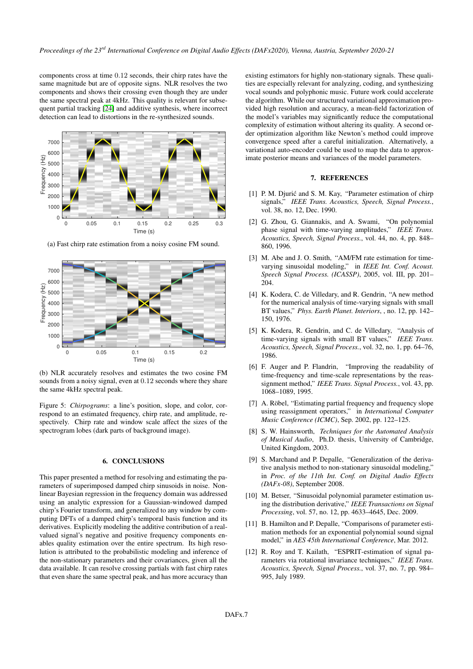components cross at time 0.12 seconds, their chirp rates have the same magnitude but are of opposite signs. NLR resolves the two components and shows their crossing even though they are under the same spectral peak at 4kHz. This quality is relevant for subsequent partial tracking [24] and additive synthesis, where incorrect detection can lead to distortions in the re-synthesized sounds.



(a) Fast chirp rate estimation from a noisy cosine FM sound.



(b) NLR accurately resolves and estimates the two cosine FM sounds from a noisy signal, even at 0.12 seconds where they share the same 4kHz spectral peak.

Figure 5: *Chirpograms*: a line's position, slope, and color, correspond to an estimated frequency, chirp rate, and amplitude, respectively. Chirp rate and window scale affect the sizes of the spectrogram lobes (dark parts of background image).

### 6. CONCLUSIONS

This paper presented a method for resolving and estimating the parameters of superimposed damped chirp sinusoids in noise. Nonlinear Bayesian regression in the frequency domain was addressed using an analytic expression for a Gaussian-windowed damped chirp's Fourier transform, and generalized to any window by computing DFTs of a damped chirp's temporal basis function and its derivatives. Explicitly modeling the additive contribution of a realvalued signal's negative and positive frequency components enables quality estimation over the entire spectrum. Its high resolution is attributed to the probabilistic modeling and inference of the non-stationary parameters and their covariances, given all the data available. It can resolve crossing partials with fast chirp rates that even share the same spectral peak, and has more accuracy than

existing estimators for highly non-stationary signals. These qualities are especially relevant for analyzing, coding, and synthesizing vocal sounds and polyphonic music. Future work could accelerate the algorithm. While our structured variational approximation provided high resolution and accuracy, a mean-field factorization of the model's variables may significantly reduce the computational complexity of estimation without altering its quality. A second order optimization algorithm like Newton's method could improve convergence speed after a careful initialization. Alternatively, a variational auto-encoder could be used to map the data to approximate posterior means and variances of the model parameters.

### 7. REFERENCES

- [1] P. M. Djurić and S. M. Kay, "Parameter estimation of chirp signals," *IEEE Trans. Acoustics, Speech, Signal Process.*, vol. 38, no. 12, Dec. 1990.
- [2] G. Zhou, G. Giannakis, and A. Swami, "On polynomial phase signal with time-varying amplitudes," *IEEE Trans. Acoustics, Speech, Signal Process.*, vol. 44, no. 4, pp. 848– 860, 1996.
- [3] M. Abe and J. O. Smith, "AM/FM rate estimation for timevarying sinusoidal modeling," in *IEEE Int. Conf. Acoust. Speech Signal Process. (ICASSP)*, 2005, vol. III, pp. 201– 204.
- [4] K. Kodera, C. de Villedary, and R. Gendrin, "A new method for the numerical analysis of time-varying signals with small BT values," *Phys. Earth Planet. Interiors*, , no. 12, pp. 142– 150, 1976.
- [5] K. Kodera, R. Gendrin, and C. de Villedary, "Analysis of time-varying signals with small BT values," *IEEE Trans. Acoustics, Speech, Signal Process.*, vol. 32, no. 1, pp. 64–76, 1986.
- [6] F. Auger and P. Flandrin, "Improving the readability of time-frequency and time-scale representations by the reassignment method," *IEEE Trans. Signal Process.*, vol. 43, pp. 1068–1089, 1995.
- [7] A. Röbel, "Estimating partial frequency and frequency slope using reassignment operators," in *International Computer Music Conference (ICMC)*, Sep. 2002, pp. 122–125.
- [8] S. W. Hainsworth, *Techniques for the Automated Analysis of Musical Audio*, Ph.D. thesis, University of Cambridge, United Kingdom, 2003.
- [9] S. Marchand and P. Depalle, "Generalization of the derivative analysis method to non-stationary sinusoidal modeling, in *Proc. of the 11th Int. Conf. on Digital Audio Effects (DAFx-08)*, September 2008.
- [10] M. Betser, "Sinusoidal polynomial parameter estimation using the distribution derivative," *IEEE Transactions on Signal Processing*, vol. 57, no. 12, pp. 4633–4645, Dec. 2009.
- [11] B. Hamilton and P. Depalle, "Comparisons of parameter estimation methods for an exponential polynomial sound signal model," in *AES 45th International Conference*, Mar. 2012.
- [12] R. Roy and T. Kailath, "ESPRIT-estimation of signal parameters via rotational invariance techniques," *IEEE Trans. Acoustics, Speech, Signal Process.*, vol. 37, no. 7, pp. 984– 995, July 1989.